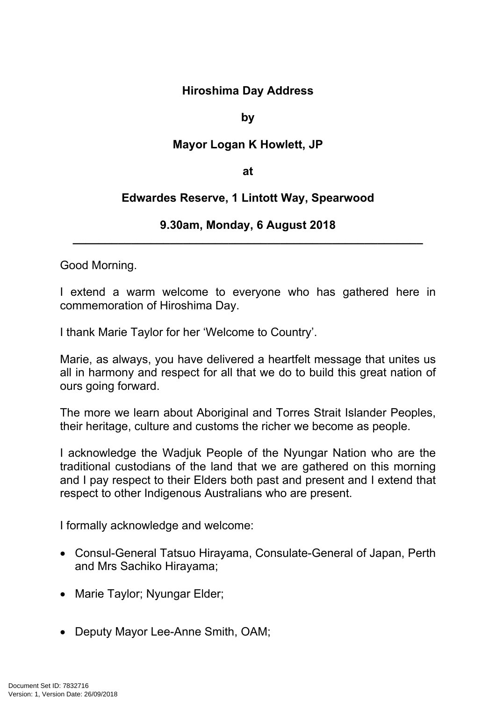## **Hiroshima Day Address**

## **by**

## **Mayor Logan K Howlett, JP**

#### **at**

# **Edwardes Reserve, 1 Lintott Way, Spearwood**

## **9.30am, Monday, 6 August 2018 \_\_\_\_\_\_\_\_\_\_\_\_\_\_\_\_\_\_\_\_\_\_\_\_\_\_\_\_\_\_\_\_\_\_\_\_\_\_\_\_\_\_\_\_\_\_\_\_\_\_\_\_\_\_**

Good Morning.

I extend a warm welcome to everyone who has gathered here in commemoration of Hiroshima Day.

I thank Marie Taylor for her 'Welcome to Country'.

Marie, as always, you have delivered a heartfelt message that unites us all in harmony and respect for all that we do to build this great nation of ours going forward.

The more we learn about Aboriginal and Torres Strait Islander Peoples, their heritage, culture and customs the richer we become as people.

I acknowledge the Wadjuk People of the Nyungar Nation who are the traditional custodians of the land that we are gathered on this morning and I pay respect to their Elders both past and present and I extend that respect to other Indigenous Australians who are present.

I formally acknowledge and welcome:

- Consul-General Tatsuo Hirayama, Consulate-General of Japan, Perth and Mrs Sachiko Hirayama;
- Marie Taylor; Nyungar Elder;
- Deputy Mayor Lee-Anne Smith, OAM;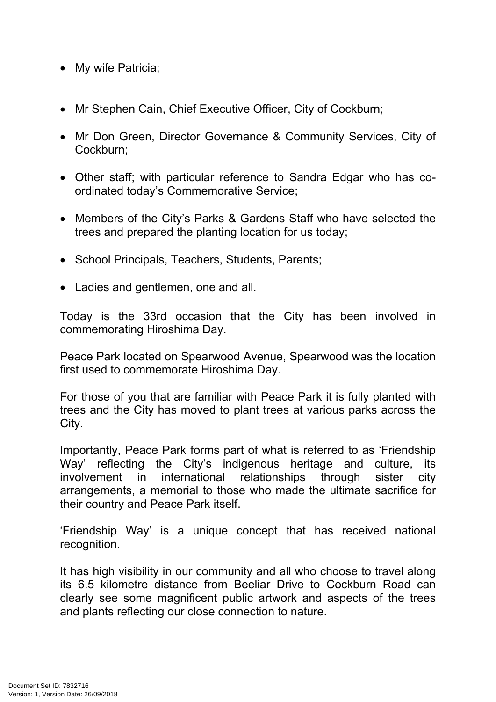- My wife Patricia;
- Mr Stephen Cain, Chief Executive Officer, City of Cockburn;
- Mr Don Green, Director Governance & Community Services, City of Cockburn;
- Other staff; with particular reference to Sandra Edgar who has coordinated today's Commemorative Service;
- Members of the City's Parks & Gardens Staff who have selected the trees and prepared the planting location for us today;
- School Principals, Teachers, Students, Parents;
- Ladies and gentlemen, one and all.

Today is the 33rd occasion that the City has been involved in commemorating Hiroshima Day.

Peace Park located on Spearwood Avenue, Spearwood was the location first used to commemorate Hiroshima Day.

For those of you that are familiar with Peace Park it is fully planted with trees and the City has moved to plant trees at various parks across the City.

Importantly, Peace Park forms part of what is referred to as 'Friendship Way' reflecting the City's indigenous heritage and culture, its involvement in international relationships through sister city arrangements, a memorial to those who made the ultimate sacrifice for their country and Peace Park itself.

'Friendship Way' is a unique concept that has received national recognition.

It has high visibility in our community and all who choose to travel along its 6.5 kilometre distance from Beeliar Drive to Cockburn Road can clearly see some magnificent public artwork and aspects of the trees and plants reflecting our close connection to nature.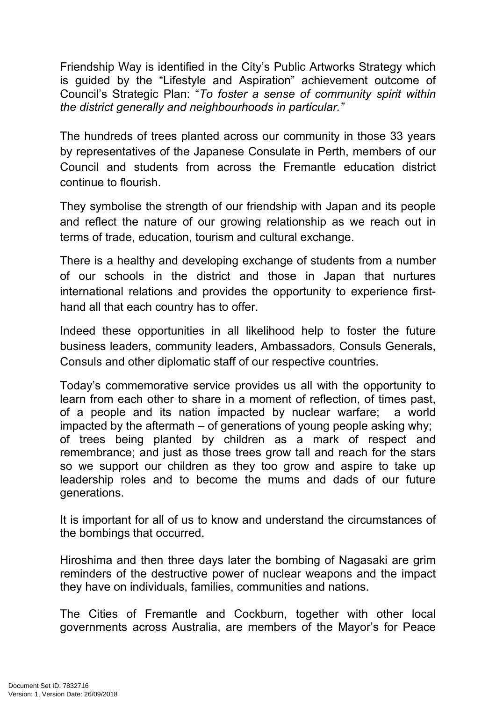Friendship Way is identified in the City's Public Artworks Strategy which is guided by the "Lifestyle and Aspiration" achievement outcome of Council's Strategic Plan: "*To foster a sense of community spirit within the district generally and neighbourhoods in particular."*

The hundreds of trees planted across our community in those 33 years by representatives of the Japanese Consulate in Perth, members of our Council and students from across the Fremantle education district continue to flourish.

They symbolise the strength of our friendship with Japan and its people and reflect the nature of our growing relationship as we reach out in terms of trade, education, tourism and cultural exchange.

There is a healthy and developing exchange of students from a number of our schools in the district and those in Japan that nurtures international relations and provides the opportunity to experience firsthand all that each country has to offer.

Indeed these opportunities in all likelihood help to foster the future business leaders, community leaders, Ambassadors, Consuls Generals, Consuls and other diplomatic staff of our respective countries.

Today's commemorative service provides us all with the opportunity to learn from each other to share in a moment of reflection, of times past, of a people and its nation impacted by nuclear warfare; a world impacted by the aftermath – of generations of young people asking why; of trees being planted by children as a mark of respect and remembrance; and just as those trees grow tall and reach for the stars so we support our children as they too grow and aspire to take up leadership roles and to become the mums and dads of our future generations.

It is important for all of us to know and understand the circumstances of the bombings that occurred.

Hiroshima and then three days later the bombing of Nagasaki are grim reminders of the destructive power of nuclear weapons and the impact they have on individuals, families, communities and nations.

The Cities of Fremantle and Cockburn, together with other local governments across Australia, are members of the Mayor's for Peace